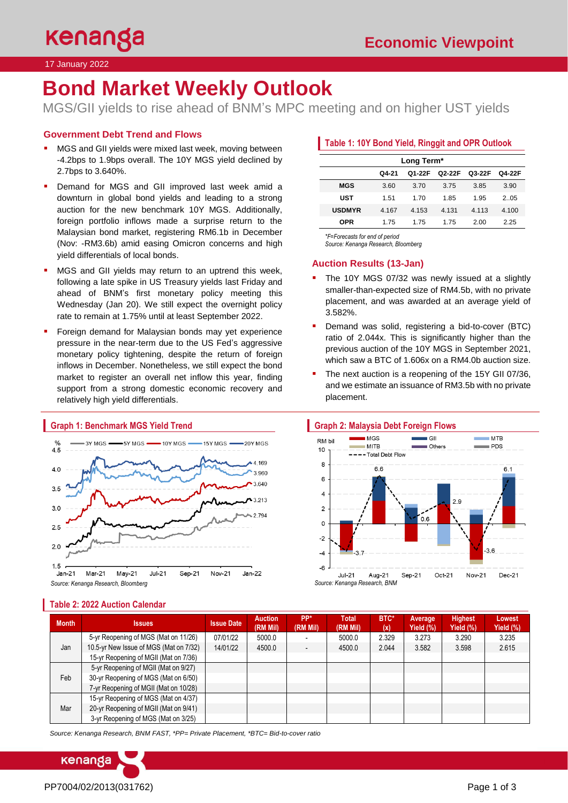17 January 2022

# **Bond Market Weekly Outlook**

MGS/GII yields to rise ahead of BNM's MPC meeting and on higher UST yields

### **Government Debt Trend and Flows**

- MGS and GII yields were mixed last week, moving between -4.2bps to 1.9bps overall. The 10Y MGS yield declined by 2.7bps to 3.640%.
- **•** Demand for MGS and GII improved last week amid a downturn in global bond yields and leading to a strong auction for the new benchmark 10Y MGS. Additionally, foreign portfolio inflows made a surprise return to the Malaysian bond market, registering RM6.1b in December (Nov: -RM3.6b) amid easing Omicron concerns and high yield differentials of local bonds.
- MGS and GII yields may return to an uptrend this week, following a late spike in US Treasury yields last Friday and ahead of BNM's first monetary policy meeting this Wednesday (Jan 20). We still expect the overnight policy rate to remain at 1.75% until at least September 2022.
- Foreign demand for Malaysian bonds may yet experience pressure in the near-term due to the US Fed's aggressive monetary policy tightening, despite the return of foreign inflows in December. Nonetheless, we still expect the bond market to register an overall net inflow this year, finding support from a strong domestic economic recovery and relatively high yield differentials.



## **Graph 1: Benchmark MGS Yield Trend**

### **Table 1: 10Y Bond Yield, Ringgit and OPR Outlook**

| Long Term*    |       |        |        |        |        |  |  |  |  |  |
|---------------|-------|--------|--------|--------|--------|--|--|--|--|--|
|               | Q4-21 | Q1-22F | Q2-22F | Q3-22F | Q4-22F |  |  |  |  |  |
| <b>MGS</b>    | 3.60  | 3.70   | 3.75   | 3.85   | 3.90   |  |  |  |  |  |
| <b>UST</b>    | 1.51  | 1 7 0  | 1.85   | 1 95   | 2 05   |  |  |  |  |  |
| <b>USDMYR</b> | 4.167 | 4.153  | 4.131  | 4.113  | 4.100  |  |  |  |  |  |
| OPR           | 1.75  | 1 75   | 1 75   | 2.00   | 2.25   |  |  |  |  |  |

*\*F=Forecasts for end of period* 

### *Source: Kenanga Research, Bloomberg*

#### **Auction Results (13-Jan)**

- The 10Y MGS 07/32 was newly issued at a slightly smaller-than-expected size of RM4.5b, with no private placement, and was awarded at an average yield of 3.582%.
- Demand was solid, registering a bid-to-cover (BTC) ratio of 2.044x. This is significantly higher than the previous auction of the 10Y MGS in September 2021, which saw a BTC of 1.606x on a RM4.0b auction size.
- The next auction is a reopening of the 15Y GII 07/36, and we estimate an issuance of RM3.5b with no private placement.





**Average Yield (%)**

**Highest Yield (%)**

**Lowest Yield (%)**

#### **Month Issues Issue Date Auction (RM Mil) PP\* (RM Mil) Total (RM Mil) BTC\* (x)** Jan 5-yr Reopening of MGS (Mat on 11/26) | 07/01/22 | 5000.0 | - | 5000.0 | 2.329 | 3.273 | 3.290 | 3.235 15-yr Reopening of MGII (Mat on 7/36) 5-yr Reopening of MGII (Mat on 9/27)

10.5-yr New Issue of MGS (Mat on 7/32) | 14/01/22 | 4500.0 | - | 4500.0 | 2.044 | 3.582 | 3.598 | 2.615 Feb 30-yr Reopening of MGS (Mat on 6/50) 7-yr Reopening of MGII (Mat on 10/28) Mar 15-yr Reopening of MGS (Mat on 4/37) 20-yr Reopening of MGII (Mat on 9/41) 3-yr Reopening of MGS (Mat on 3/25)

*Source: Kenanga Research, BNM FAST, \*PP= Private Placement, \*BTC= Bid-to-cover ratio*



**Table 2: 2022 Auction Calendar**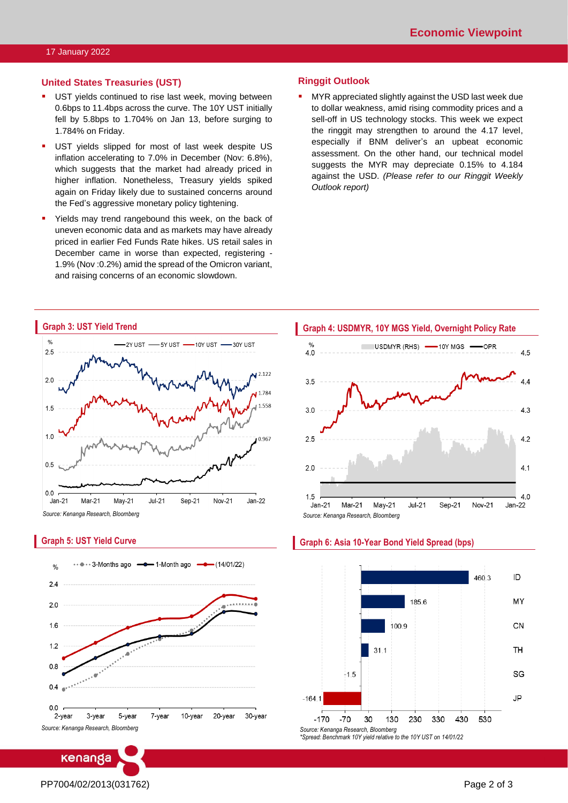#### **United States Treasuries (UST)**

- UST yields continued to rise last week, moving between 0.6bps to 11.4bps across the curve. The 10Y UST initially fell by 5.8bps to 1.704% on Jan 13, before surging to 1.784% on Friday.
- **UST yields slipped for most of last week despite US** inflation accelerating to 7.0% in December (Nov: 6.8%), which suggests that the market had already priced in higher inflation. Nonetheless, Treasury yields spiked again on Friday likely due to sustained concerns around the Fed's aggressive monetary policy tightening.
- **EXECT** Yields may trend rangebound this week, on the back of uneven economic data and as markets may have already priced in earlier Fed Funds Rate hikes. US retail sales in December came in worse than expected, registering - 1.9% (Nov :0.2%) amid the spread of the Omicron variant, and raising concerns of an economic slowdown.

#### **Ringgit Outlook**

MYR appreciated slightly against the USD last week due to dollar weakness, amid rising commodity prices and a sell-off in US technology stocks. This week we expect the ringgit may strengthen to around the 4.17 level, especially if BNM deliver's an upbeat economic assessment. On the other hand, our technical model suggests the MYR may depreciate 0.15% to 4.184 against the USD. *(Please refer to our Ringgit Weekly Outlook report)*



#### **Graph 5: UST Yield Curve**



Level 12, Kenanga Tower, 237, Jalan Tun Razak, 50400 Kuala Lumpur, Malaysia Chan Ken Yew Telephone: (603) 2172 0880 Website[: www.kenanga.com.my](http://www.kenanga.com.my/) E-mail: [researc](mailto:resear)h@kenanga.com.my Head of Research



#### **Graph 6: Asia 10-Year Bond Yield Spread (bps)**



PP7004/02/2013(031762) Page 2 of 3

**ENANGA INVESTMENT BANK BERHAD (15678-H)**